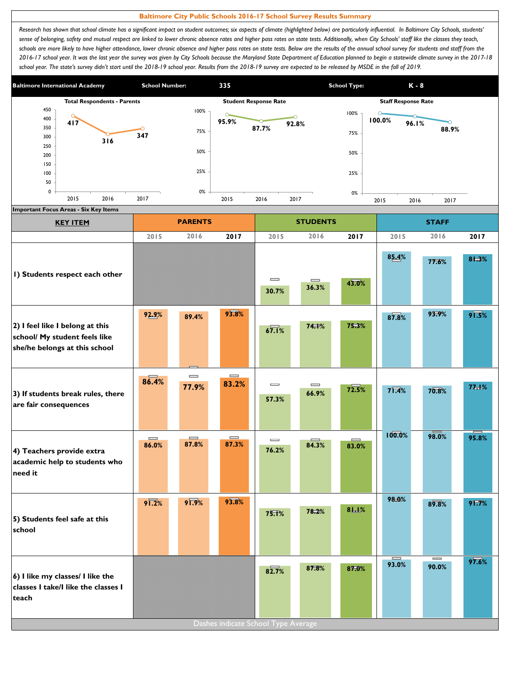## **Baltimore City Public Schools 2016-17 School Survey Results Summary**

Research has shown that school climate has a significant impact on student outcomes; six aspects of climate (highlighted below) are particularly influential. In Baltimore City Schools, students' sense of belonging, safety and mutual respect are linked to lower chronic absence rates and higher pass rates on state tests. Additionally, when City Schools' staff like the classes they teach, schools are more likely to have higher attendance, lower chronic absence and higher pass rates on state tests. Below are the results of the annual school survey for students and staff from the *2016-17 school year. It was the last year the survey was given by City Schools because the Maryland State Department of Education planned to begin a statewide climate survey in the 2017-18*  school year. The state's survey didn't start until the 2018-19 school year. Results from the 2018-19 survey are expected to be released by MSDE in the fall of 2019.



| <b>KEY ITEM</b>                                                                                   |                     | <b>PARENTS</b>    |                                       |                                        | <b>STUDENTS</b>                       |       | <b>STAFF</b>        |                   |                 |  |
|---------------------------------------------------------------------------------------------------|---------------------|-------------------|---------------------------------------|----------------------------------------|---------------------------------------|-------|---------------------|-------------------|-----------------|--|
|                                                                                                   | 2015                | 2016              | 2017                                  | 2015                                   | 2016                                  | 2017  | 2015                | 2016              | 2017            |  |
| I) Students respect each other                                                                    |                     |                   |                                       | $\qquad \qquad \qquad \qquad$<br>30.7% | $\equiv$<br>36.3%                     | 43.0% | 85.4%               | 77.6%             | 81.3%           |  |
| 2) I feel like I belong at this<br>school/ My student feels like<br>she/he belongs at this school | 92.9%               | 89.4%             | 93.8%                                 | 67.1%                                  | 74.1%                                 | 75.3% | 87.8%               | 93.9%             | $9\sqrt{1.5\%}$ |  |
| 3) If students break rules, there<br>are fair consequences                                        | 86.4%               | $\equiv$<br>77.9% | $\qquad \qquad \blacksquare$<br>83.2% | $\equiv$<br>57.3%                      | $\qquad \qquad \blacksquare$<br>66.9% | 72.5% | $7\overline{1.4\%}$ | 70.8%             | 77.1%           |  |
| 4) Teachers provide extra<br>academic help to students who<br>need it                             | $\equiv$<br>86.0%   | $\equiv$<br>87.8% | $\qquad \qquad \blacksquare$<br>87.3% | $\equiv$<br>76.2%                      | 84.3%                                 | 83.0% | 100.0%              | 98.0%             | 95.8%           |  |
| 5) Students feel safe at this<br>school                                                           | $9\overline{1.2\%}$ | $9\sqrt{1.9\%}$   | 93.8%                                 | 75.1%                                  | 78.2%                                 | 81.1% | 98.0%               | 89.8%             | 91.7%           |  |
| 6) I like my classes/ I like the<br>classes I take/I like the classes I<br>teach                  |                     |                   |                                       | 82.7%                                  | 87.8%                                 | 87.0% | 93.0%               | $\equiv$<br>90.0% | 97.6%           |  |